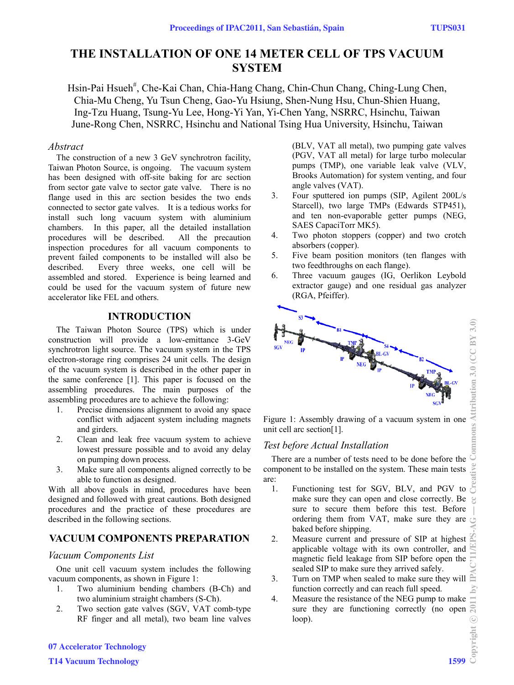# **THE INSTALLATION OF ONE 14 METER CELL OF TPS VACUUM SYSTEM**

Hsin-Pai Hsueh<sup>#</sup>, Che-Kai Chan, Chia-Hang Chang, Chin-Chun Chang, Ching-Lung Chen, Chia-Mu Cheng, Yu Tsun Cheng, Gao-Yu Hsiung, Shen-Nung Hsu, Chun-Shien Huang, Ing-Tzu Huang, Tsung-Yu Lee, Hong-Yi Yan, Yi-Chen Yang, NSRRC, Hsinchu, Taiwan June-Rong Chen, NSRRC, Hsinchu and National Tsing Hua University, Hsinchu, Taiwan

#### *Abstract*

The construction of a new 3 GeV synchrotron facility, Taiwan Photon Source, is ongoing. The vacuum system has been designed with off-site baking for arc section from sector gate valve to sector gate valve. There is no flange used in this arc section besides the two ends connected to sector gate valves. It is a tedious works for install such long vacuum system with aluminium chambers. In this paper, all the detailed installation procedures will be described. All the precaution inspection procedures for all vacuum components to prevent failed components to be installed will also be described. Every three weeks, one cell will be assembled and stored. Experience is being learned and could be used for the vacuum system of future new accelerator like FEL and others.

## **INTRODUCTION**

The Taiwan Photon Source (TPS) which is under construction will provide a low-emittance 3-GeV synchrotron light source. The vacuum system in the TPS electron-storage ring comprises 24 unit cells. The design of the vacuum system is described in the other paper in the same conference [1]. This paper is focused on the assembling procedures. The main purposes of the assembling procedures are to achieve the following:

- 1. Precise dimensions alignment to avoid any space conflict with adjacent system including magnets and girders.
- 2. Clean and leak free vacuum system to achieve lowest pressure possible and to avoid any delay on pumping down process.
- 3. Make sure all components aligned correctly to be able to function as designed.

With all above goals in mind, procedures have been designed and followed with great cautions. Both designed procedures and the practice of these procedures are described in the following sections.

# **VACUUM COMPONENTS PREPARATION**

#### *Vacuum Components List*

One unit cell vacuum system includes the following vacuum components, as shown in Figure 1:

- 1. Two aluminium bending chambers (B-Ch) and two aluminium straight chambers (S-Ch).
- 2. Two section gate valves (SGV, VAT comb-type RF finger and all metal), two beam line valves

(BLV, VAT all metal), two pumping gate valves (PGV, VAT all metal) for large turbo molecular pumps (TMP), one variable leak valve (VLV, Brooks Automation) for system venting, and four angle valves (VAT).

- 3. Four sputtered ion pumps (SIP, Agilent 200L/s Starcell), two large TMPs (Edwards STP451), and ten non-evaporable getter pumps (NEG, SAES CapaciTorr MK5).
- 4. Two photon stoppers (copper) and two crotch absorbers (copper).
- 5. Five beam position monitors (ten flanges with two feedthroughs on each flange).
- 6. Three vacuum gauges (IG, Oerlikon Leybold extractor gauge) and one residual gas analyzer (RGA, Pfeiffer).



Figure 1: Assembly drawing of a vacuum system in one unit cell arc section[1].

## *Test before Actual Installation*

There are a number of tests need to be done before the component to be installed on the system. These main tests are:

- 1. Functioning test for SGV, BLV, and PGV to make sure they can open and close correctly. Be sure to secure them before this test. Before ordering them from VAT, make sure they are baked before shipping.
- 2. Measure current and pressure of SIP at highest applicable voltage with its own controller, and magnetic field leakage from SIP before open the sealed SIP to make sure they arrived safely.
- 3. Turn on TMP when sealed to make sure they will function correctly and can reach full speed.
- 4. Measure the resistance of the NEG pump to make sure they are functioning correctly (no open loop).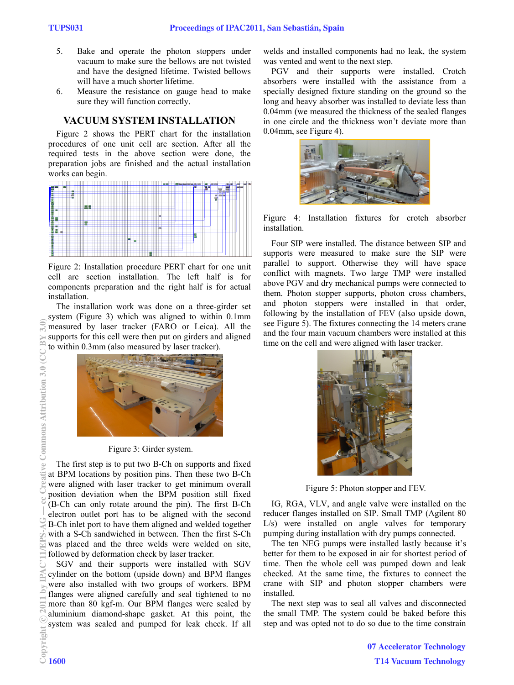- 5. Bake and operate the photon stoppers under vacuum to make sure the bellows are not twisted and have the designed lifetime. Twisted bellows will have a much shorter lifetime.
- 6. Measure the resistance on gauge head to make sure they will function correctly.

#### **VACUUM SYSTEM INSTALLATION**

Figure 2 shows the PERT chart for the installation procedures of one unit cell arc section. After all the required tests in the above section were done, the preparation jobs are finished and the actual installation works can begin.



Figure 2: Installation procedure PERT chart for one unit cell arc section installation. The left half is for components preparation and the right half is for actual installation.

The installation work was done on a three-girder set system (Figure 3) which was aligned to within 0.1mm measured by laser tracker (FARO or Leica). All the supports for this cell were then put on girders and aligned to within 0.3mm (also measured by laser tracker).



Figure 3: Girder system.

The first step is to put two B-Ch on supports and fixed at BPM locations by position pins. Then these two B-Ch were aligned with laser tracker to get minimum overall position deviation when the BPM position still fixed (B-Ch can only rotate around the pin). The first B-Ch electron outlet port has to be aligned with the second B-Ch inlet port to have them aligned and welded together with a S-Ch sandwiched in between. Then the first S-Ch was placed and the three welds were welded on site, followed by deformation check by laser tracker.

SGV and their supports were installed with SGV cylinder on the bottom (upside down) and BPM flanges were also installed with two groups of workers. BPM flanges were aligned carefully and seal tightened to no more than 80 kgf-m. Our BPM flanges were sealed by aluminium diamond-shape gasket. At this point, the system was sealed and pumped for leak check. If all welds and installed components had no leak, the system was vented and went to the next step.

PGV and their supports were installed. Crotch absorbers were installed with the assistance from a specially designed fixture standing on the ground so the long and heavy absorber was installed to deviate less than 0.04mm (we measured the thickness of the sealed flanges in one circle and the thickness won't deviate more than 0.04mm, see Figure 4).



Figure 4: Installation fixtures for crotch absorber installation.

Four SIP were installed. The distance between SIP and supports were measured to make sure the SIP were parallel to support. Otherwise they will have space conflict with magnets. Two large TMP were installed above PGV and dry mechanical pumps were connected to them. Photon stopper supports, photon cross chambers, and photon stoppers were installed in that order, following by the installation of FEV (also upside down, see Figure 5). The fixtures connecting the 14 meters crane and the four main vacuum chambers were installed at this time on the cell and were aligned with laser tracker.



Figure 5: Photon stopper and FEV.

IG, RGA, VLV, and angle valve were installed on the reducer flanges installed on SIP. Small TMP (Agilent 80 L/s) were installed on angle valves for temporary pumping during installation with dry pumps connected.

The ten NEG pumps were installed lastly because it's better for them to be exposed in air for shortest period of time. Then the whole cell was pumped down and leak checked. At the same time, the fixtures to connect the crane with SIP and photon stopper chambers were installed.

The next step was to seal all valves and disconnected the small TMP. The system could be baked before this step and was opted not to do so due to the time constrain